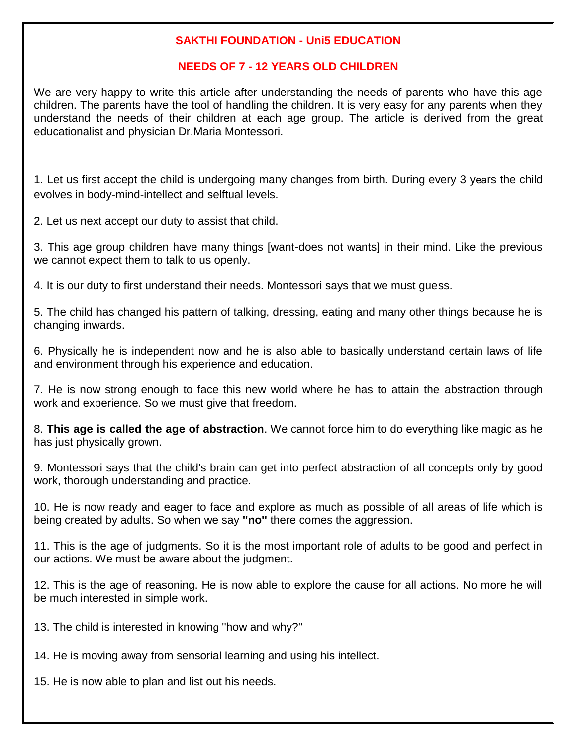## **SAKTHI FOUNDATION - Uni5 EDUCATION**

## **NEEDS OF 7 - 12 YEARS OLD CHILDREN**

We are very happy to write this article after understanding the needs of parents who have this age children. The parents have the tool of handling the children. It is very easy for any parents when they understand the needs of their children at each age group. The article is derived from the great educationalist and physician Dr.Maria Montessori.

1. Let us first accept the child is undergoing many changes from birth. During every 3 years the child evolves in body-mind-intellect and selftual levels.

2. Let us next accept our duty to assist that child.

3. This age group children have many things [want-does not wants] in their mind. Like the previous we cannot expect them to talk to us openly.

4. It is our duty to first understand their needs. Montessori says that we must guess.

5. The child has changed his pattern of talking, dressing, eating and many other things because he is changing inwards.

6. Physically he is independent now and he is also able to basically understand certain laws of life and environment through his experience and education.

7. He is now strong enough to face this new world where he has to attain the abstraction through work and experience. So we must give that freedom.

8. **This age is called the age of abstraction**. We cannot force him to do everything like magic as he has just physically grown.

9. Montessori says that the child's brain can get into perfect abstraction of all concepts only by good work, thorough understanding and practice.

10. He is now ready and eager to face and explore as much as possible of all areas of life which is being created by adults. So when we say **''no''** there comes the aggression.

11. This is the age of judgments. So it is the most important role of adults to be good and perfect in our actions. We must be aware about the judgment.

12. This is the age of reasoning. He is now able to explore the cause for all actions. No more he will be much interested in simple work.

13. The child is interested in knowing ''how and why?''

14. He is moving away from sensorial learning and using his intellect.

15. He is now able to plan and list out his needs.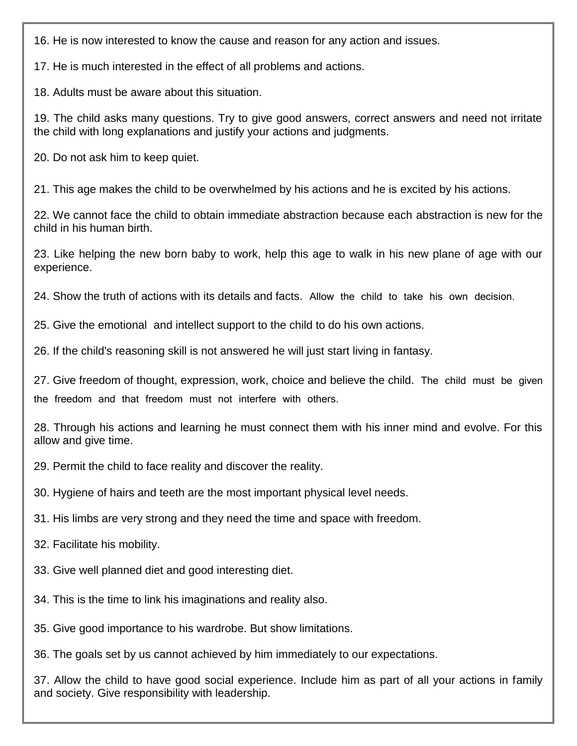16. He is now interested to know the cause and reason for any action and issues.

17. He is much interested in the effect of all problems and actions.

18. Adults must be aware about this situation.

19. The child asks many questions. Try to give good answers, correct answers and need not irritate the child with long explanations and justify your actions and judgments.

20. Do not ask him to keep quiet.

21. This age makes the child to be overwhelmed by his actions and he is excited by his actions.

22. We cannot face the child to obtain immediate abstraction because each abstraction is new for the child in his human birth.

23. Like helping the new born baby to work, help this age to walk in his new plane of age with our experience.

24. Show the truth of actions with its details and facts. Allow the child to take his own decision.

25. Give the emotional and intellect support to the child to do his own actions.

26. If the child's reasoning skill is not answered he will just start living in fantasy.

27. Give freedom of thought, expression, work, choice and believe the child. The child must be given the freedom and that freedom must not interfere with others.

28. Through his actions and learning he must connect them with his inner mind and evolve. For this allow and give time.

29. Permit the child to face reality and discover the reality.

30. Hygiene of hairs and teeth are the most important physical level needs.

31. His limbs are very strong and they need the time and space with freedom.

32. Facilitate his mobility.

33. Give well planned diet and good interesting diet.

34. This is the time to link his imaginations and reality also.

35. Give good importance to his wardrobe. But show limitations.

36. The goals set by us cannot achieved by him immediately to our expectations.

37. Allow the child to have good social experience. Include him as part of all your actions in family and society. Give responsibility with leadership.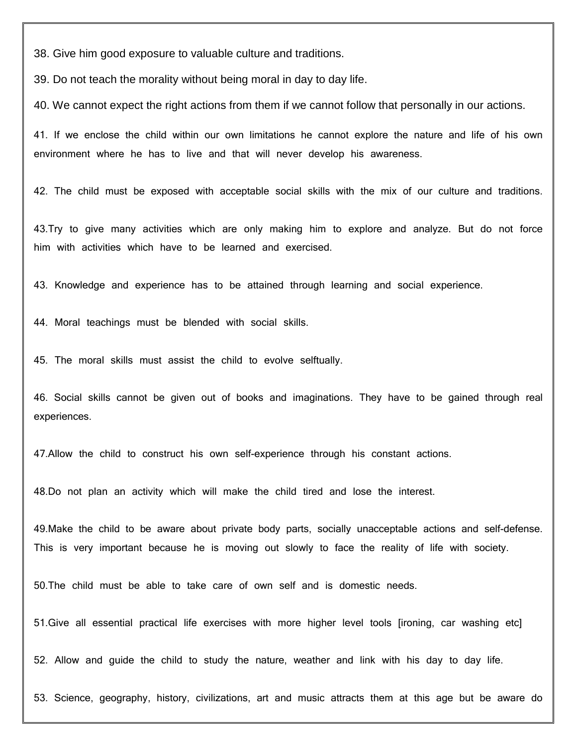38. Give him good exposure to valuable culture and traditions.

39. Do not teach the morality without being moral in day to day life.

40. We cannot expect the right actions from them if we cannot follow that personally in our actions.

41. If we enclose the child within our own limitations he cannot explore the nature and life of his own environment where he has to live and that will never develop his awareness.

42. The child must be exposed with acceptable social skills with the mix of our culture and traditions.

43.Try to give many activities which are only making him to explore and analyze. But do not force him with activities which have to be learned and exercised.

43. Knowledge and experience has to be attained through learning and social experience.

44. Moral teachings must be blended with social skills.

45. The moral skills must assist the child to evolve selftually.

46. Social skills cannot be given out of books and imaginations. They have to be gained through real experiences.

47.Allow the child to construct his own self-experience through his constant actions.

48.Do not plan an activity which will make the child tired and lose the interest.

49.Make the child to be aware about private body parts, socially unacceptable actions and self-defense. This is very important because he is moving out slowly to face the reality of life with society.

50.The child must be able to take care of own self and is domestic needs.

51.Give all essential practical life exercises with more higher level tools [ironing, car washing etc]

52. Allow and guide the child to study the nature, weather and link with his day to day life.

53. Science, geography, history, civilizations, art and music attracts them at this age but be aware do